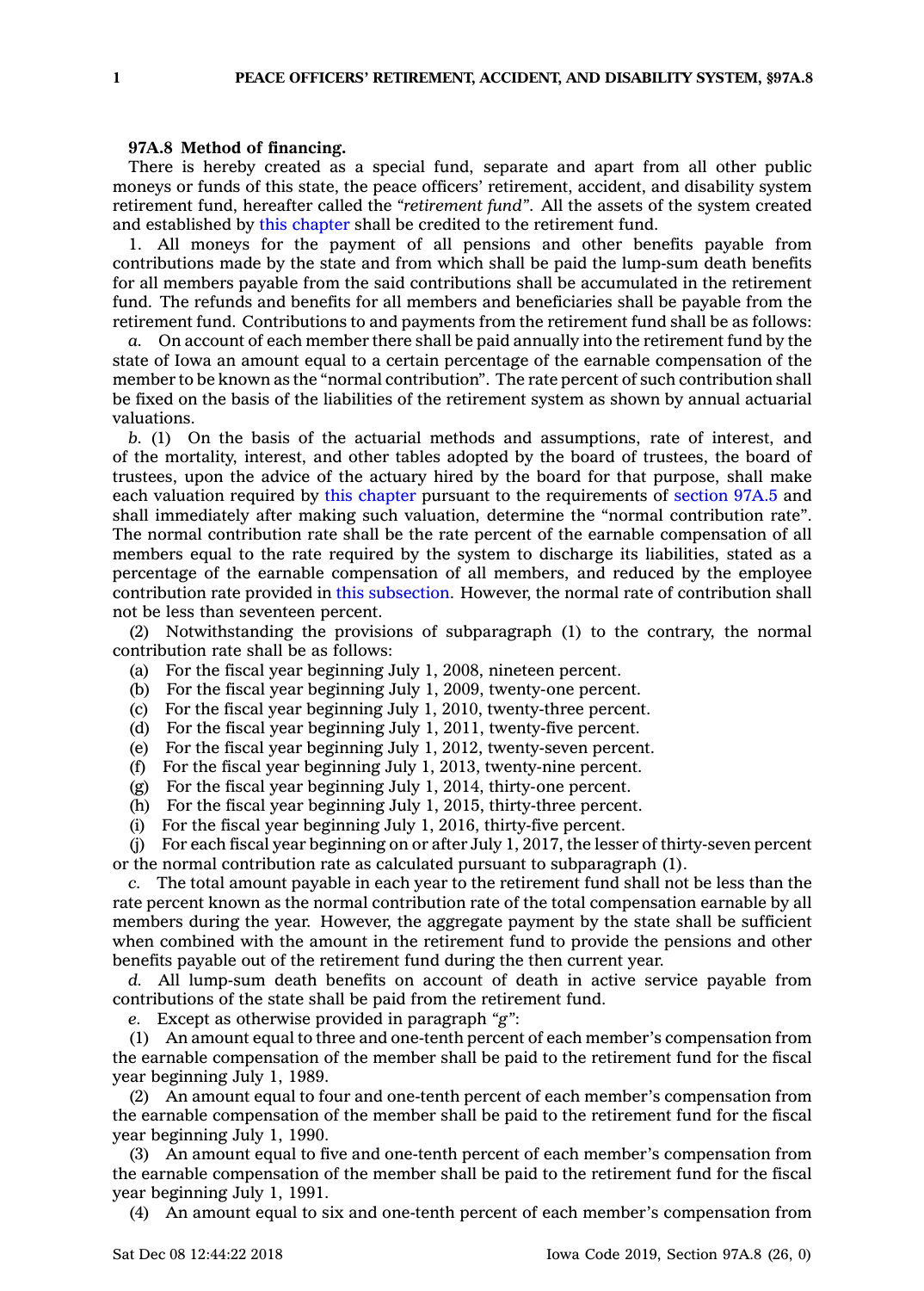## **97A.8 Method of financing.**

There is hereby created as <sup>a</sup> special fund, separate and apart from all other public moneys or funds of this state, the peace officers' retirement, accident, and disability system retirement fund, hereafter called the *"retirement fund"*. All the assets of the system created and established by this [chapter](https://www.legis.iowa.gov/docs/code//97A.pdf) shall be credited to the retirement fund.

1. All moneys for the payment of all pensions and other benefits payable from contributions made by the state and from which shall be paid the lump-sum death benefits for all members payable from the said contributions shall be accumulated in the retirement fund. The refunds and benefits for all members and beneficiaries shall be payable from the retirement fund. Contributions to and payments from the retirement fund shall be as follows:

*a.* On account of each member there shall be paid annually into the retirement fund by the state of Iowa an amount equal to <sup>a</sup> certain percentage of the earnable compensation of the member to be known as the "normal contribution". The rate percent of such contribution shall be fixed on the basis of the liabilities of the retirement system as shown by annual actuarial valuations.

*b.* (1) On the basis of the actuarial methods and assumptions, rate of interest, and of the mortality, interest, and other tables adopted by the board of trustees, the board of trustees, upon the advice of the actuary hired by the board for that purpose, shall make each valuation required by this [chapter](https://www.legis.iowa.gov/docs/code//97A.pdf) pursuant to the requirements of [section](https://www.legis.iowa.gov/docs/code/97A.5.pdf) 97A.5 and shall immediately after making such valuation, determine the "normal contribution rate". The normal contribution rate shall be the rate percent of the earnable compensation of all members equal to the rate required by the system to discharge its liabilities, stated as <sup>a</sup> percentage of the earnable compensation of all members, and reduced by the employee contribution rate provided in this [subsection](https://www.legis.iowa.gov/docs/code/97A.8.pdf). However, the normal rate of contribution shall not be less than seventeen percent.

(2) Notwithstanding the provisions of subparagraph (1) to the contrary, the normal contribution rate shall be as follows:

(a) For the fiscal year beginning July 1, 2008, nineteen percent.

(b) For the fiscal year beginning July 1, 2009, twenty-one percent.

(c) For the fiscal year beginning July 1, 2010, twenty-three percent.

(d) For the fiscal year beginning July 1, 2011, twenty-five percent.

(e) For the fiscal year beginning July 1, 2012, twenty-seven percent.

(f) For the fiscal year beginning July 1, 2013, twenty-nine percent.

(g) For the fiscal year beginning July 1, 2014, thirty-one percent.

(h) For the fiscal year beginning July 1, 2015, thirty-three percent.

(i) For the fiscal year beginning July 1, 2016, thirty-five percent.

(j) For each fiscal year beginning on or after July 1, 2017, the lesser of thirty-seven percent or the normal contribution rate as calculated pursuant to subparagraph (1).

*c.* The total amount payable in each year to the retirement fund shall not be less than the rate percent known as the normal contribution rate of the total compensation earnable by all members during the year. However, the aggregate payment by the state shall be sufficient when combined with the amount in the retirement fund to provide the pensions and other benefits payable out of the retirement fund during the then current year.

*d.* All lump-sum death benefits on account of death in active service payable from contributions of the state shall be paid from the retirement fund.

*e.* Except as otherwise provided in paragraph *"g"*:

(1) An amount equal to three and one-tenth percent of each member's compensation from the earnable compensation of the member shall be paid to the retirement fund for the fiscal year beginning July 1, 1989.

(2) An amount equal to four and one-tenth percent of each member's compensation from the earnable compensation of the member shall be paid to the retirement fund for the fiscal year beginning July 1, 1990.

(3) An amount equal to five and one-tenth percent of each member's compensation from the earnable compensation of the member shall be paid to the retirement fund for the fiscal year beginning July 1, 1991.

(4) An amount equal to six and one-tenth percent of each member's compensation from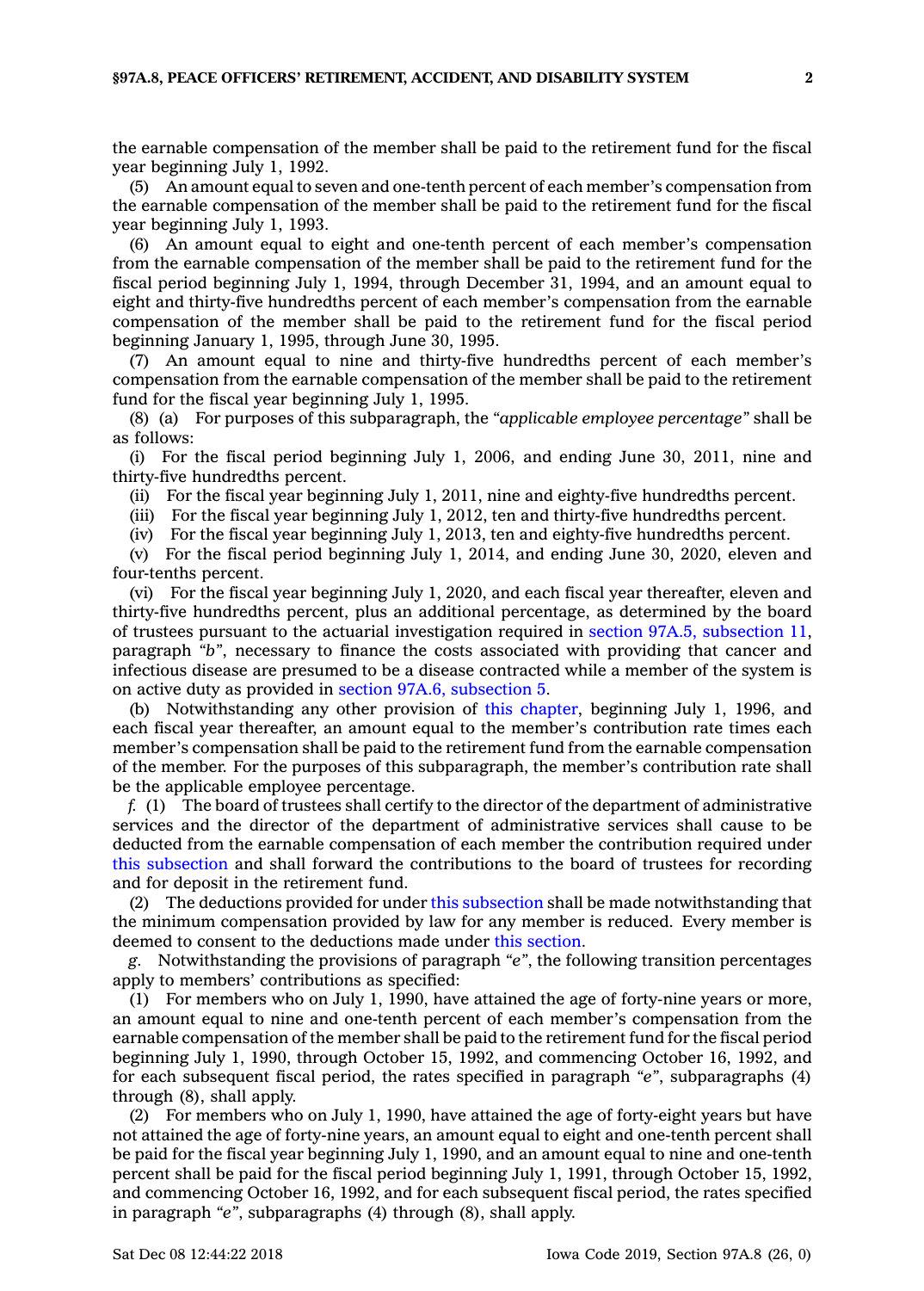the earnable compensation of the member shall be paid to the retirement fund for the fiscal year beginning July 1, 1992.

(5) An amount equal to seven and one-tenth percent of each member's compensation from the earnable compensation of the member shall be paid to the retirement fund for the fiscal year beginning July 1, 1993.

(6) An amount equal to eight and one-tenth percent of each member's compensation from the earnable compensation of the member shall be paid to the retirement fund for the fiscal period beginning July 1, 1994, through December 31, 1994, and an amount equal to eight and thirty-five hundredths percent of each member's compensation from the earnable compensation of the member shall be paid to the retirement fund for the fiscal period beginning January 1, 1995, through June 30, 1995.

(7) An amount equal to nine and thirty-five hundredths percent of each member's compensation from the earnable compensation of the member shall be paid to the retirement fund for the fiscal year beginning July 1, 1995.

(8) (a) For purposes of this subparagraph, the *"applicable employee percentage"* shall be as follows:

(i) For the fiscal period beginning July 1, 2006, and ending June 30, 2011, nine and thirty-five hundredths percent.

(ii) For the fiscal year beginning July 1, 2011, nine and eighty-five hundredths percent.

(iii) For the fiscal year beginning July 1, 2012, ten and thirty-five hundredths percent.

(iv) For the fiscal year beginning July 1, 2013, ten and eighty-five hundredths percent.

(v) For the fiscal period beginning July 1, 2014, and ending June 30, 2020, eleven and four-tenths percent.

(vi) For the fiscal year beginning July 1, 2020, and each fiscal year thereafter, eleven and thirty-five hundredths percent, plus an additional percentage, as determined by the board of trustees pursuant to the actuarial investigation required in section 97A.5, [subsection](https://www.legis.iowa.gov/docs/code/97A.5.pdf) 11, paragraph *"b"*, necessary to finance the costs associated with providing that cancer and infectious disease are presumed to be <sup>a</sup> disease contracted while <sup>a</sup> member of the system is on active duty as provided in section 97A.6, [subsection](https://www.legis.iowa.gov/docs/code/97A.6.pdf) 5.

(b) Notwithstanding any other provision of this [chapter](https://www.legis.iowa.gov/docs/code//97A.pdf), beginning July 1, 1996, and each fiscal year thereafter, an amount equal to the member's contribution rate times each member's compensation shall be paid to the retirement fund from the earnable compensation of the member. For the purposes of this subparagraph, the member's contribution rate shall be the applicable employee percentage.

*f.* (1) The board of trustees shall certify to the director of the department of administrative services and the director of the department of administrative services shall cause to be deducted from the earnable compensation of each member the contribution required under this [subsection](https://www.legis.iowa.gov/docs/code/97A.8.pdf) and shall forward the contributions to the board of trustees for recording and for deposit in the retirement fund.

(2) The deductions provided for under this [subsection](https://www.legis.iowa.gov/docs/code/97A.8.pdf) shall be made notwithstanding that the minimum compensation provided by law for any member is reduced. Every member is deemed to consent to the deductions made under this [section](https://www.legis.iowa.gov/docs/code/97A.8.pdf).

*g.* Notwithstanding the provisions of paragraph *"e"*, the following transition percentages apply to members' contributions as specified:

(1) For members who on July 1, 1990, have attained the age of forty-nine years or more, an amount equal to nine and one-tenth percent of each member's compensation from the earnable compensation of the member shall be paid to the retirement fund for the fiscal period beginning July 1, 1990, through October 15, 1992, and commencing October 16, 1992, and for each subsequent fiscal period, the rates specified in paragraph *"e"*, subparagraphs (4) through (8), shall apply.

(2) For members who on July 1, 1990, have attained the age of forty-eight years but have not attained the age of forty-nine years, an amount equal to eight and one-tenth percent shall be paid for the fiscal year beginning July 1, 1990, and an amount equal to nine and one-tenth percent shall be paid for the fiscal period beginning July 1, 1991, through October 15, 1992, and commencing October 16, 1992, and for each subsequent fiscal period, the rates specified in paragraph *"e"*, subparagraphs (4) through (8), shall apply.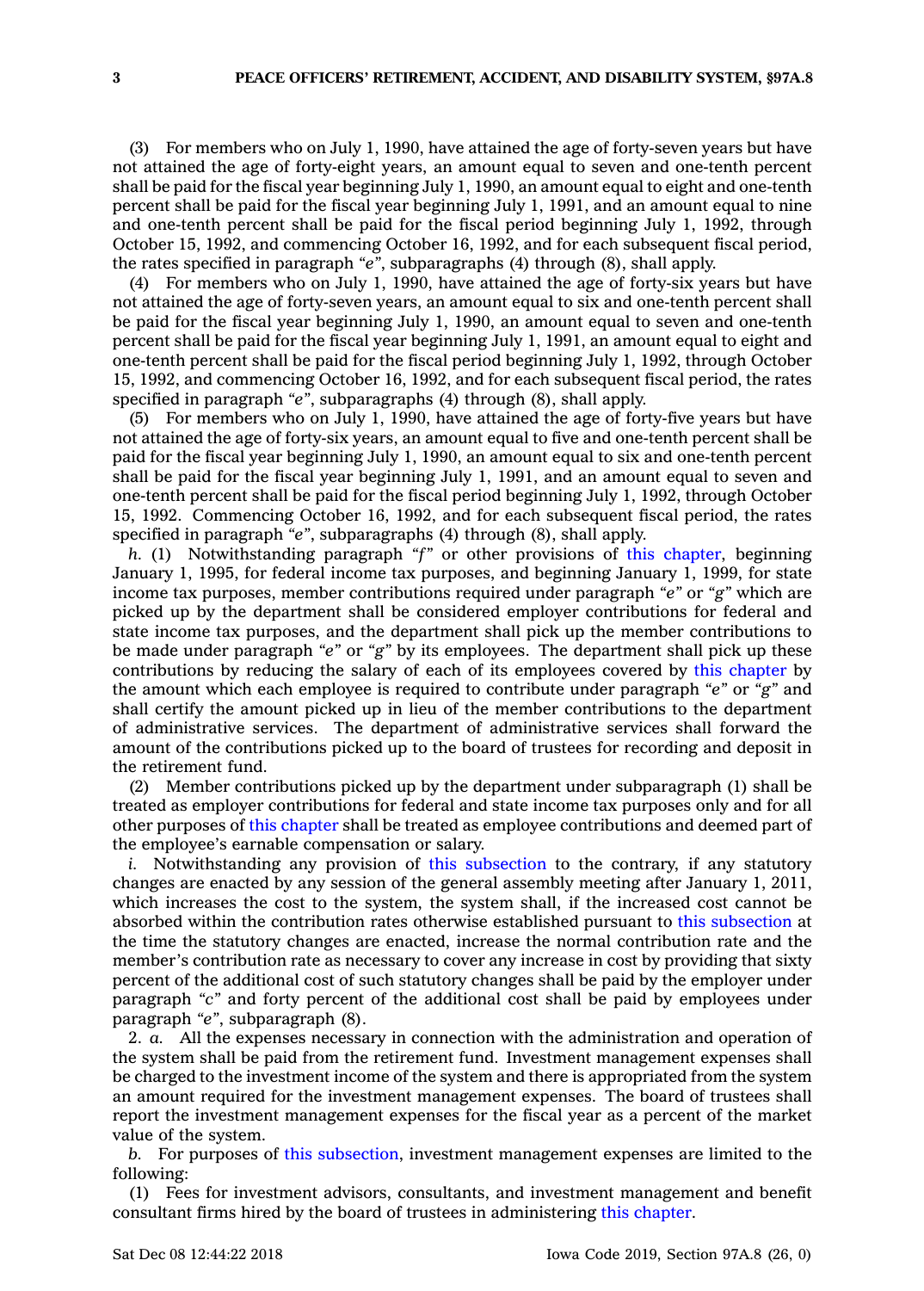(3) For members who on July 1, 1990, have attained the age of forty-seven years but have not attained the age of forty-eight years, an amount equal to seven and one-tenth percent shall be paid for the fiscal year beginning July 1, 1990, an amount equal to eight and one-tenth percent shall be paid for the fiscal year beginning July 1, 1991, and an amount equal to nine and one-tenth percent shall be paid for the fiscal period beginning July 1, 1992, through October 15, 1992, and commencing October 16, 1992, and for each subsequent fiscal period, the rates specified in paragraph *"e"*, subparagraphs (4) through (8), shall apply.

(4) For members who on July 1, 1990, have attained the age of forty-six years but have not attained the age of forty-seven years, an amount equal to six and one-tenth percent shall be paid for the fiscal year beginning July 1, 1990, an amount equal to seven and one-tenth percent shall be paid for the fiscal year beginning July 1, 1991, an amount equal to eight and one-tenth percent shall be paid for the fiscal period beginning July 1, 1992, through October 15, 1992, and commencing October 16, 1992, and for each subsequent fiscal period, the rates specified in paragraph *"e"*, subparagraphs (4) through (8), shall apply.

(5) For members who on July 1, 1990, have attained the age of forty-five years but have not attained the age of forty-six years, an amount equal to five and one-tenth percent shall be paid for the fiscal year beginning July 1, 1990, an amount equal to six and one-tenth percent shall be paid for the fiscal year beginning July 1, 1991, and an amount equal to seven and one-tenth percent shall be paid for the fiscal period beginning July 1, 1992, through October 15, 1992. Commencing October 16, 1992, and for each subsequent fiscal period, the rates specified in paragraph *"e"*, subparagraphs (4) through (8), shall apply.

*h.* (1) Notwithstanding paragraph *"f"* or other provisions of this [chapter](https://www.legis.iowa.gov/docs/code//97A.pdf), beginning January 1, 1995, for federal income tax purposes, and beginning January 1, 1999, for state income tax purposes, member contributions required under paragraph *"e"* or *"g"* which are picked up by the department shall be considered employer contributions for federal and state income tax purposes, and the department shall pick up the member contributions to be made under paragraph *"e"* or *"g"* by its employees. The department shall pick up these contributions by reducing the salary of each of its employees covered by this [chapter](https://www.legis.iowa.gov/docs/code//97A.pdf) by the amount which each employee is required to contribute under paragraph *"e"* or *"g"* and shall certify the amount picked up in lieu of the member contributions to the department of administrative services. The department of administrative services shall forward the amount of the contributions picked up to the board of trustees for recording and deposit in the retirement fund.

(2) Member contributions picked up by the department under subparagraph (1) shall be treated as employer contributions for federal and state income tax purposes only and for all other purposes of this [chapter](https://www.legis.iowa.gov/docs/code//97A.pdf) shall be treated as employee contributions and deemed part of the employee's earnable compensation or salary.

*i.* Notwithstanding any provision of this [subsection](https://www.legis.iowa.gov/docs/code/97A.8.pdf) to the contrary, if any statutory changes are enacted by any session of the general assembly meeting after January 1, 2011, which increases the cost to the system, the system shall, if the increased cost cannot be absorbed within the contribution rates otherwise established pursuant to this [subsection](https://www.legis.iowa.gov/docs/code/97A.8.pdf) at the time the statutory changes are enacted, increase the normal contribution rate and the member's contribution rate as necessary to cover any increase in cost by providing that sixty percent of the additional cost of such statutory changes shall be paid by the employer under paragraph *"c"* and forty percent of the additional cost shall be paid by employees under paragraph *"e"*, subparagraph (8).

2. *a.* All the expenses necessary in connection with the administration and operation of the system shall be paid from the retirement fund. Investment management expenses shall be charged to the investment income of the system and there is appropriated from the system an amount required for the investment management expenses. The board of trustees shall report the investment management expenses for the fiscal year as <sup>a</sup> percent of the market value of the system.

*b.* For purposes of this [subsection](https://www.legis.iowa.gov/docs/code/97A.8.pdf), investment management expenses are limited to the following:

(1) Fees for investment advisors, consultants, and investment management and benefit consultant firms hired by the board of trustees in administering this [chapter](https://www.legis.iowa.gov/docs/code//97A.pdf).